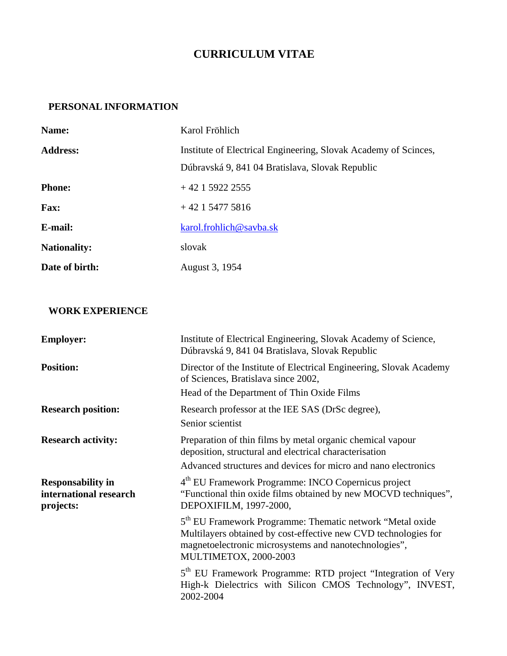## **CURRICULUM VITAE**

## **PERSONAL INFORMATION**

| Name:               | Karol Fröhlich                                                  |
|---------------------|-----------------------------------------------------------------|
| <b>Address:</b>     | Institute of Electrical Engineering, Slovak Academy of Scinces, |
|                     | Dúbravská 9, 841 04 Bratislava, Slovak Republic                 |
| <b>Phone:</b>       | $+42$ 1 5922 2555                                               |
| <b>Fax:</b>         | $+42$ 1 5477 5816                                               |
| E-mail:             | karol.frohlich@savba.sk                                         |
| <b>Nationality:</b> | slovak                                                          |
| Date of birth:      | August 3, 1954                                                  |

## **WORK EXPERIENCE**

| <b>Employer:</b>                                                | Institute of Electrical Engineering, Slovak Academy of Science,<br>Dúbravská 9, 841 04 Bratislava, Slovak Republic                                                                                                          |
|-----------------------------------------------------------------|-----------------------------------------------------------------------------------------------------------------------------------------------------------------------------------------------------------------------------|
| <b>Position:</b>                                                | Director of the Institute of Electrical Engineering, Slovak Academy<br>of Sciences, Bratislava since 2002,                                                                                                                  |
|                                                                 | Head of the Department of Thin Oxide Films                                                                                                                                                                                  |
| <b>Research position:</b>                                       | Research professor at the IEE SAS (DrSc degree),<br>Senior scientist                                                                                                                                                        |
| <b>Research activity:</b>                                       | Preparation of thin films by metal organic chemical vapour<br>deposition, structural and electrical characterisation                                                                                                        |
|                                                                 | Advanced structures and devices for micro and nano electronics                                                                                                                                                              |
| <b>Responsability in</b><br>international research<br>projects: | 4 <sup>th</sup> EU Framework Programme: INCO Copernicus project<br>"Functional thin oxide films obtained by new MOCVD techniques",<br>DEPOXIFILM, 1997-2000,                                                                |
|                                                                 | 5 <sup>th</sup> EU Framework Programme: Thematic network "Metal oxide"<br>Multilayers obtained by cost-effective new CVD technologies for<br>magnetoelectronic microsystems and nanotechnologies",<br>MULTIMETOX, 2000-2003 |
|                                                                 | 5 <sup>th</sup> EU Framework Programme: RTD project "Integration of Very<br>High-k Dielectrics with Silicon CMOS Technology", INVEST,<br>2002-2004                                                                          |